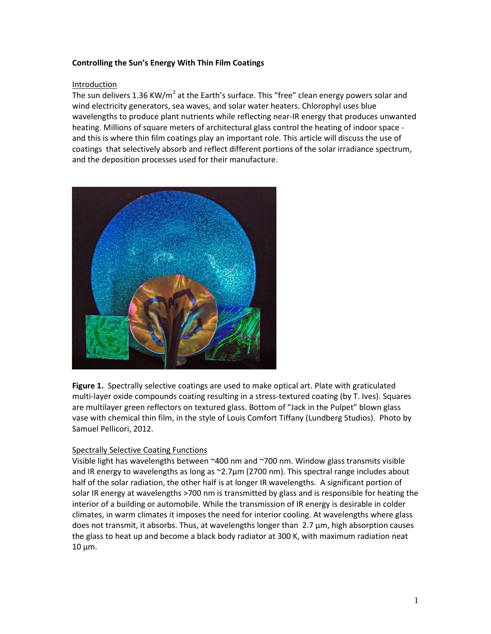# **Controlling the Sun's Energy With Thin Film Coatings**

### Introduction

The sun delivers 1.36 KW/m<sup>2</sup> at the Earth's surface. This "free" clean energy powers solar and wind electricity generators, sea waves, and solar water heaters. Chlorophyl uses blue wavelengths to produce plant nutrients while reflecting near-IR energy that produces unwanted heating. Millions of square meters of architectural glass control the heating of indoor space and this is where thin film coatings play an important role. This article will discuss the use of coatings that selectively absorb and reflect different portions of the solar irradiance spectrum, and the deposition processes used for their manufacture.



**Figure 1.** Spectrally selective coatings are used to make optical art. Plate with graticulated multi-layer oxide compounds coating resulting in a stress-textured coating (by T. Ives). Squares are multilayer green reflectors on textured glass. Bottom of "Jack in the Pulpet" blown glass vase with chemical thin film, in the style of Louis Comfort Tiffany (Lundberg Studios). Photo by Samuel Pellicori, 2012.

### Spectrally Selective Coating Functions

Visible light has wavelengths between ~400 nm and ~700 nm. Window glass transmits visible and IR energy to wavelengths as long as  $\sim$ 2.7 $\mu$ m (2700 nm). This spectral range includes about half of the solar radiation, the other half is at longer IR wavelengths. A significant portion of solar IR energy at wavelengths >700 nm is transmitted by glass and is responsible for heating the interior of a building or automobile. While the transmission of IR energy is desirable in colder climates, in warm climates it imposes the need for interior cooling. At wavelengths where glass does not transmit, it absorbs. Thus, at wavelengths longer than 2.7 µm, high absorption causes the glass to heat up and become a black body radiator at 300 K, with maximum radiation neat  $10 \mu m$ .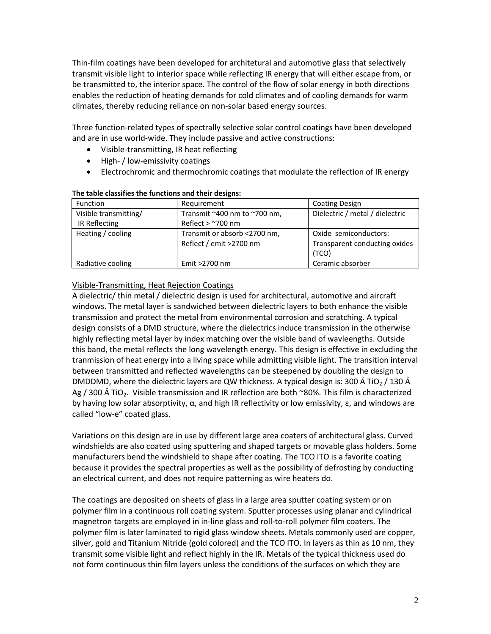Thin-film coatings have been developed for architetural and automotive glass that selectively transmit visible light to interior space while reflecting IR energy that will either escape from, or be transmitted to, the interior space. The control of the flow of solar energy in both directions enables the reduction of heating demands for cold climates and of cooling demands for warm climates, thereby reducing reliance on non-solar based energy sources.

Three function-related types of spectrally selective solar control coatings have been developed and are in use world-wide. They include passive and active constructions:

- Visible-transmitting, IR heat reflecting
- High- / low-emissivity coatings
- Electrochromic and thermochromic coatings that modulate the reflection of IR energy

| <b>Function</b>       | Requirement                  | <b>Coating Design</b>           |
|-----------------------|------------------------------|---------------------------------|
| Visible transmitting/ | Transmit ~400 nm to ~700 nm, | Dielectric / metal / dielectric |
| IR Reflecting         | Reflect $>$ ~700 nm          |                                 |
| Heating / cooling     | Transmit or absorb <2700 nm, | Oxide semiconductors:           |
|                       | Reflect / emit >2700 nm      | Transparent conducting oxides   |
|                       |                              | (TCO)                           |
| Radiative cooling     | Emit >2700 nm                | Ceramic absorber                |

#### **The table classifies the functions and their designs:**

# Visible-Transmitting, Heat Rejection Coatings

A dielectric/ thin metal / dielectric design is used for architectural, automotive and aircraft windows. The metal layer is sandwiched between dielectric layers to both enhance the visible transmission and protect the metal from environmental corrosion and scratching. A typical design consists of a DMD structure, where the dielectrics induce transmission in the otherwise highly reflecting metal layer by index matching over the visible band of wavleengths. Outside this band, the metal reflects the long wavelength energy. This design is effective in excluding the tranmission of heat energy into a living space while admitting visible light. The transition interval between transmitted and reflected wavelengths can be steepened by doubling the design to DMDDMD, where the dielectric layers are QW thickness. A typical design is: 300 Å TiO<sub>2</sub> / 130 Å Ag / 300 Å TiO<sub>2</sub>. Visible transmission and IR reflection are both ~80%. This film is characterized by having low solar absorptivity, α, and high IR reflectivity or low emissivity, ε, and windows are called "low-e" coated glass.

Variations on this design are in use by different large area coaters of architectural glass. Curved windshields are also coated using sputtering and shaped targets or movable glass holders. Some manufacturers bend the windshield to shape after coating. The TCO ITO is a favorite coating because it provides the spectral properties as well as the possibility of defrosting by conducting an electrical current, and does not require patterning as wire heaters do.

The coatings are deposited on sheets of glass in a large area sputter coating system or on polymer film in a continuous roll coating system. Sputter processes using planar and cylindrical magnetron targets are employed in in-line glass and roll-to-roll polymer film coaters. The polymer film is later laminated to rigid glass window sheets. Metals commonly used are copper, silver, gold and Titanium Nitride (gold colored) and the TCO ITO. In layers as thin as 10 nm, they transmit some visible light and reflect highly in the IR. Metals of the typical thickness used do not form continuous thin film layers unless the conditions of the surfaces on which they are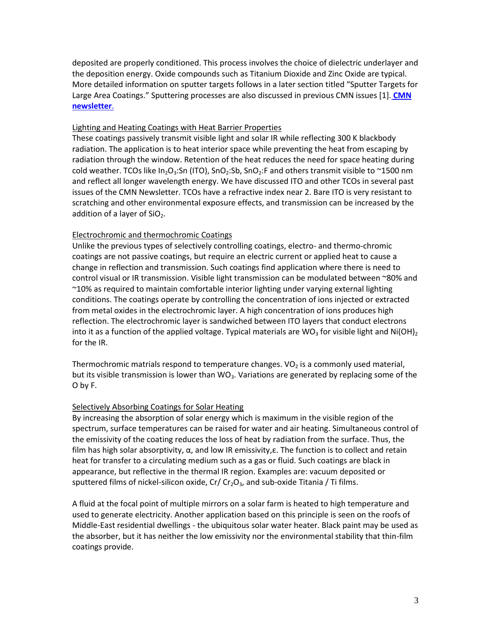deposited are properly conditioned. This process involves the choice of dielectric underlayer and the deposition energy. Oxide compounds such as Titanium Dioxide and Zinc Oxide are typical. More detailed information on sputter targets follows in a later section titled "Sputter Targets for Large Area Coatings." Sputtering processes are also discussed in previous CMN issues [1]. **[CMN](http://materion.com/ResourceCenter/NewsletterArchives/CoatingMaterialsNews.aspx)  [newsletter](http://materion.com/ResourceCenter/NewsletterArchives/CoatingMaterialsNews.aspx)**.

## Lighting and Heating Coatings with Heat Barrier Properties

These coatings passively transmit visible light and solar IR while reflecting 300 K blackbody radiation. The application is to heat interior space while preventing the heat from escaping by radiation through the window. Retention of the heat reduces the need for space heating during cold weather. TCOs like In<sub>2</sub>O<sub>3</sub>:Sn (ITO), SnO<sub>2</sub>:Sb, SnO<sub>2</sub>:F and others transmit visible to ~1500 nm and reflect all longer wavelength energy. We have discussed ITO and other TCOs in several past issues of the CMN Newsletter. TCOs have a refractive index near 2. Bare ITO is very resistant to scratching and other environmental exposure effects, and transmission can be increased by the addition of a layer of  $SiO<sub>2</sub>$ .

# Electrochromic and thermochromic Coatings

Unlike the previous types of selectively controlling coatings, electro- and thermo-chromic coatings are not passive coatings, but require an electric current or applied heat to cause a change in reflection and transmission. Such coatings find application where there is need to control visual or IR transmission. Visible light transmission can be modulated between ~80% and ~10% as required to maintain comfortable interior lighting under varying external lighting conditions. The coatings operate by controlling the concentration of ions injected or extracted from metal oxides in the electrochromic layer. A high concentration of ions produces high reflection. The electrochromic layer is sandwiched between ITO layers that conduct electrons into it as a function of the applied voltage. Typical materials are WO<sub>3</sub> for visible light and Ni(OH)<sub>2</sub> for the IR.

Thermochromic matrials respond to temperature changes.  $VO<sub>2</sub>$  is a commonly used material, but its visible transmission is lower than  $WO_3$ . Variations are generated by replacing some of the O by F.

# Selectively Absorbing Coatings for Solar Heating

By increasing the absorption of solar energy which is maximum in the visible region of the spectrum, surface temperatures can be raised for water and air heating. Simultaneous control of the emissivity of the coating reduces the loss of heat by radiation from the surface. Thus, the film has high solar absorptivity, α, and low IR emissivity,ε. The function is to collect and retain heat for transfer to a circulating medium such as a gas or fluid. Such coatings are black in appearance, but reflective in the thermal IR region. Examples are: vacuum deposited or sputtered films of nickel-silicon oxide,  $Cr/Cr<sub>2</sub>O<sub>3</sub>$ , and sub-oxide Titania / Ti films.

A fluid at the focal point of multiple mirrors on a solar farm is heated to high temperature and used to generate electricity. Another application based on this principle is seen on the roofs of Middle-East residential dwellings - the ubiquitous solar water heater. Black paint may be used as the absorber, but it has neither the low emissivity nor the environmental stability that thin-film coatings provide.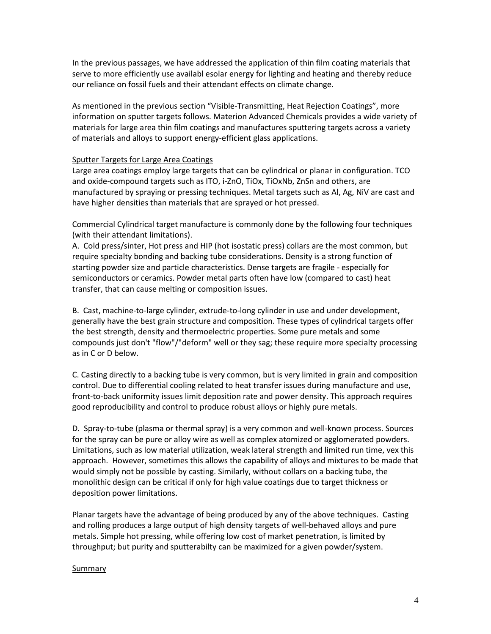In the previous passages, we have addressed the application of thin film coating materials that serve to more efficiently use availabl esolar energy for lighting and heating and thereby reduce our reliance on fossil fuels and their attendant effects on climate change.

As mentioned in the previous section "Visible-Transmitting, Heat Rejection Coatings", more information on sputter targets follows. Materion Advanced Chemicals provides a wide variety of materials for large area thin film coatings and manufactures sputtering targets across a variety of materials and alloys to support energy-efficient glass applications.

### Sputter Targets for Large Area Coatings

Large area coatings employ large targets that can be cylindrical or planar in configuration. TCO and oxide-compound targets such as ITO, i-ZnO, TiOx, TiOxNb, ZnSn and others, are manufactured by spraying or pressing techniques. Metal targets such as Al, Ag, NiV are cast and have higher densities than materials that are sprayed or hot pressed.

Commercial Cylindrical target manufacture is commonly done by the following four techniques (with their attendant limitations).

A. Cold press/sinter, Hot press and HIP (hot isostatic press) collars are the most common, but require specialty bonding and backing tube considerations. Density is a strong function of starting powder size and particle characteristics. Dense targets are fragile - especially for semiconductors or ceramics. Powder metal parts often have low (compared to cast) heat transfer, that can cause melting or composition issues.

B. Cast, machine-to-large cylinder, extrude-to-long cylinder in use and under development, generally have the best grain structure and composition. These types of cylindrical targets offer the best strength, density and thermoelectric properties. Some pure metals and some compounds just don't "flow"/"deform" well or they sag; these require more specialty processing as in C or D below.

C. Casting directly to a backing tube is very common, but is very limited in grain and composition control. Due to differential cooling related to heat transfer issues during manufacture and use, front-to-back uniformity issues limit deposition rate and power density. This approach requires good reproducibility and control to produce robust alloys or highly pure metals.

D. Spray-to-tube (plasma or thermal spray) is a very common and well-known process. Sources for the spray can be pure or alloy wire as well as complex atomized or agglomerated powders. Limitations, such as low material utilization, weak lateral strength and limited run time, vex this approach. However, sometimes this allows the capability of alloys and mixtures to be made that would simply not be possible by casting. Similarly, without collars on a backing tube, the monolithic design can be critical if only for high value coatings due to target thickness or deposition power limitations.

Planar targets have the advantage of being produced by any of the above techniques. Casting and rolling produces a large output of high density targets of well-behaved alloys and pure metals. Simple hot pressing, while offering low cost of market penetration, is limited by throughput; but purity and sputterabilty can be maximized for a given powder/system.

#### **Summary**